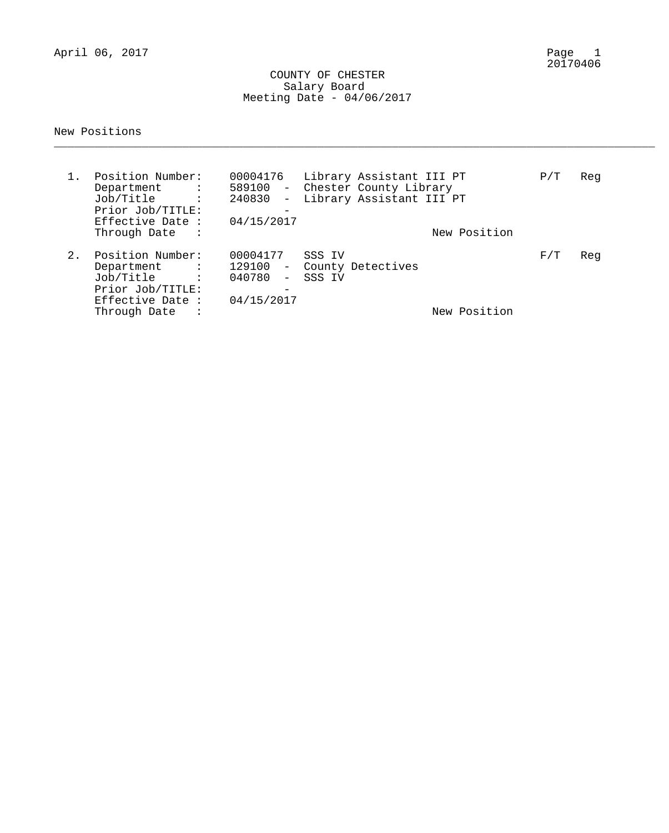April 06, 2017

### COUNTY OF CHESTER Salary Board Meeting Date - 04/06/2017

### New Positions

| $1$ . | Position Number:<br>Department :<br>Job/Title :<br>Prior Job/TITLE:<br>Effective Date:<br>Through Date<br>$\sim$ $\sim$ $\sim$ $\sim$ | 00004176<br>589100<br>240830<br>$-$<br>$\overline{\phantom{m}}$<br>04/15/2017 | Library Assistant III PT<br>- Chester County Library<br>Library Assistant III PT | New Position | P/T | Reg |
|-------|---------------------------------------------------------------------------------------------------------------------------------------|-------------------------------------------------------------------------------|----------------------------------------------------------------------------------|--------------|-----|-----|
| $2$ . | Position Number:<br>Department :<br>Job/Title :<br>Prior Job/TITLE:<br>Effective Date :<br>Through Date                               | 00004177<br>040780<br>$\sim$ $-$<br>$\overline{\phantom{m}}$<br>04/15/2017    | SSS IV<br>129100 - County Detectives<br>SSS IV                                   | New Position | F/T | Reg |

\_\_\_\_\_\_\_\_\_\_\_\_\_\_\_\_\_\_\_\_\_\_\_\_\_\_\_\_\_\_\_\_\_\_\_\_\_\_\_\_\_\_\_\_\_\_\_\_\_\_\_\_\_\_\_\_\_\_\_\_\_\_\_\_\_\_\_\_\_\_\_\_\_\_\_\_\_\_\_\_\_\_\_\_\_\_\_\_\_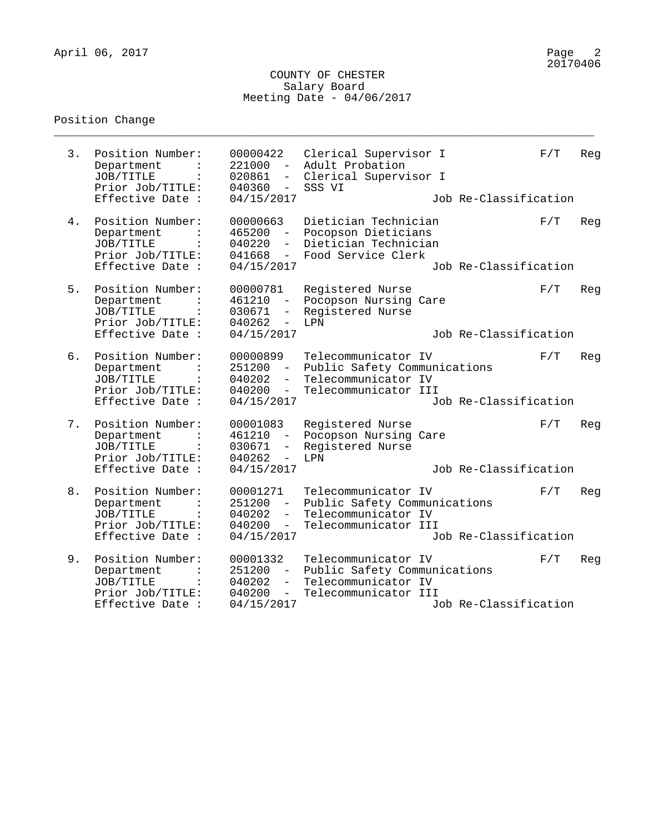### COUNTY OF CHESTER Salary Board Meeting Date - 04/06/2017

\_\_\_\_\_\_\_\_\_\_\_\_\_\_\_\_\_\_\_\_\_\_\_\_\_\_\_\_\_\_\_\_\_\_\_\_\_\_\_\_\_\_\_\_\_\_\_\_\_\_\_\_\_\_\_\_\_\_\_\_\_\_\_\_\_\_\_\_\_\_\_\_\_\_\_\_\_\_\_\_

# Position Change

| 3. | Position Number:<br>Department<br>JOB/TITLE<br>Prior Job/TITLE:<br>Effective Date :                   | 00000422<br>221000<br>$\sim$<br>020861<br>$-$<br>040360<br>$\sim$ $ \sim$<br>04/15/2017                               | Clerical Supervisor I<br>Adult Probation<br>Clerical Supervisor I<br>SSS VI<br>Job Re-Classification                        | F/T | Reg |
|----|-------------------------------------------------------------------------------------------------------|-----------------------------------------------------------------------------------------------------------------------|-----------------------------------------------------------------------------------------------------------------------------|-----|-----|
| 4. | Position Number:<br>Department<br>JOB/TITLE<br>Prior Job/TITLE:<br>Effective Date :                   | 00000663<br>465200<br>040220<br>041668<br>$-$<br>04/15/2017                                                           | Dietician Technician<br>Pocopson Dieticians<br>Dietician Technician<br>Food Service Clerk<br>Job Re-Classification          | F/T | Reg |
| 5. | Position Number:<br>Department<br>JOB/TITLE<br>$\ddot{\cdot}$<br>Prior Job/TITLE:<br>Effective Date : | 00000781<br>461210<br>030671<br>040262<br>$\equiv$<br>04/15/2017                                                      | Registered Nurse<br>Pocopson Nursing Care<br>Registered Nurse<br>LPN<br>Job Re-Classification                               | F/T | Reg |
| б. | Position Number:<br>Department<br>JOB/TITLE<br>Prior Job/TITLE:<br>Effective Date :                   | 00000899<br>$251200 -$<br>040202<br>$-$<br>040200<br>$\frac{1}{2}$<br>04/15/2017                                      | Telecommunicator IV<br>Public Safety Communications<br>Telecommunicator IV<br>Telecommunicator III<br>Job Re-Classification | F/T | Reg |
| 7. | Position Number:<br>Department<br>JOB/TITLE<br>Prior Job/TITLE:<br>Effective Date :                   | 00001083<br>461210<br>$ \,$<br>030671<br>$ \,$<br>040262<br>$-$<br>04/15/2017                                         | Registered Nurse<br>Pocopson Nursing Care<br>Registered Nurse<br>LPN<br>Job Re-Classification                               | F/T | Reg |
| 8. | Position Number:<br>Department<br>JOB/TITLE<br>Prior Job/TITLE:<br>Effective Date :                   | 00001271<br>251200<br>$\overline{\phantom{0}}$<br>040202<br>$\overline{\phantom{0}}$<br>040200<br>$ \,$<br>04/15/2017 | Telecommunicator IV<br>Public Safety Communications<br>Telecommunicator IV<br>Telecommunicator III<br>Job Re-Classification | F/T | Reg |
| 9. | Position Number:<br>Department<br>JOB/TITLE<br>$\ddot{\cdot}$<br>Prior Job/TITLE:<br>Effective Date : | 00001332<br>251200<br>040202<br>$-$<br>040200<br>$-$<br>04/15/2017                                                    | Telecommunicator IV<br>Public Safety Communications<br>Telecommunicator IV<br>Telecommunicator III<br>Job Re-Classification | F/T | Reg |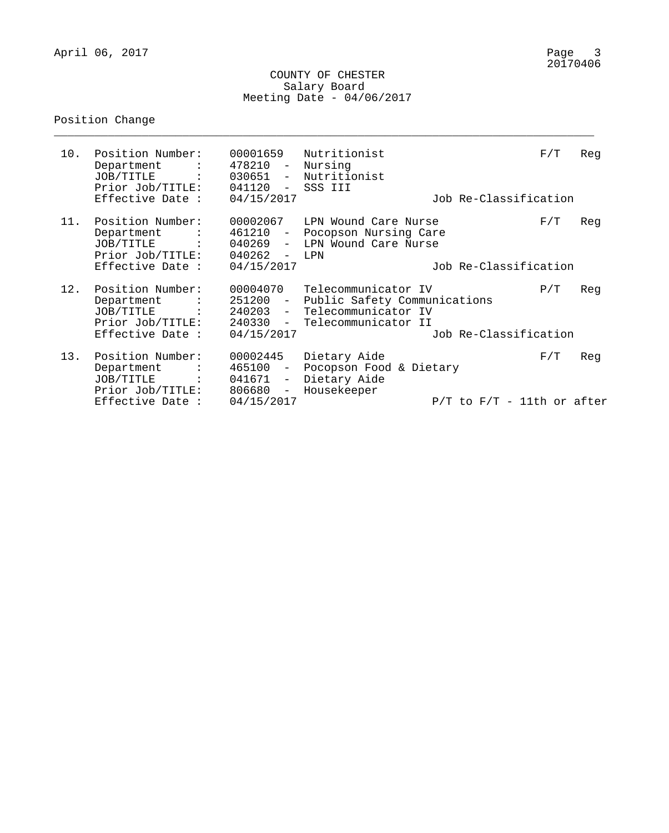### COUNTY OF CHESTER Salary Board Meeting Date - 04/06/2017

\_\_\_\_\_\_\_\_\_\_\_\_\_\_\_\_\_\_\_\_\_\_\_\_\_\_\_\_\_\_\_\_\_\_\_\_\_\_\_\_\_\_\_\_\_\_\_\_\_\_\_\_\_\_\_\_\_\_\_\_\_\_\_\_\_\_\_\_\_\_\_\_\_\_\_\_\_\_\_\_

# Position Change

| 10. | Position Number:<br>Department :<br>JOB/TITLE :<br>Prior Job/TITLE:<br>Effective Date :                        | 00001659<br>478210 -<br>041120<br>$\sim$ $-$<br>04/15/2017 | Nutritionist<br>Nursing<br>030651 - Nutritionist<br>SSS III<br>Job Re-Classification                           | F/T | Reg |
|-----|----------------------------------------------------------------------------------------------------------------|------------------------------------------------------------|----------------------------------------------------------------------------------------------------------------|-----|-----|
| 11. | Position Number:<br>Department :<br>JOB/TITLE :<br>Prior Job/TITLE:<br>Effective Date :                        | 00002067<br>461210 -<br>$040262 -$<br>04/15/2017           | LPN Wound Care Nurse<br>Pocopson Nursing Care<br>040269 - LPN Wound Care Nurse<br>LPN<br>Job Re-Classification | F/T | Reg |
|     |                                                                                                                |                                                            |                                                                                                                |     |     |
| 12. | Position Number:<br>Department<br>JOB/TITLE :<br>Prior Job/TITLE:                                              | 00004070<br>251200 -<br>240330<br>$\sim$                   | Telecommunicator IV<br>Public Safety Communications<br>240203 - Telecommunicator IV<br>Telecommunicator II     | P/T | Reg |
|     | Effective Date :                                                                                               | 04/15/2017                                                 | Job Re-Classification                                                                                          |     |     |
| 13. | Position Number:<br>Department<br>$\sim$ $\sim$ $\sim$ $\sim$ $\sim$<br>JOB/TITLE :<br>Prior Job/TITLE: 806680 | 00002445<br>465100<br>$\sim$<br>041671<br>$  \,$<br>$\sim$ | Dietary Aide<br>Pocopson Food & Dietary<br>Dietary Aide<br>Housekeeper                                         | F/T | Reg |
|     | Effective Date :                                                                                               | 04/15/2017                                                 | $P/T$ to $F/T$ - 11th or after                                                                                 |     |     |